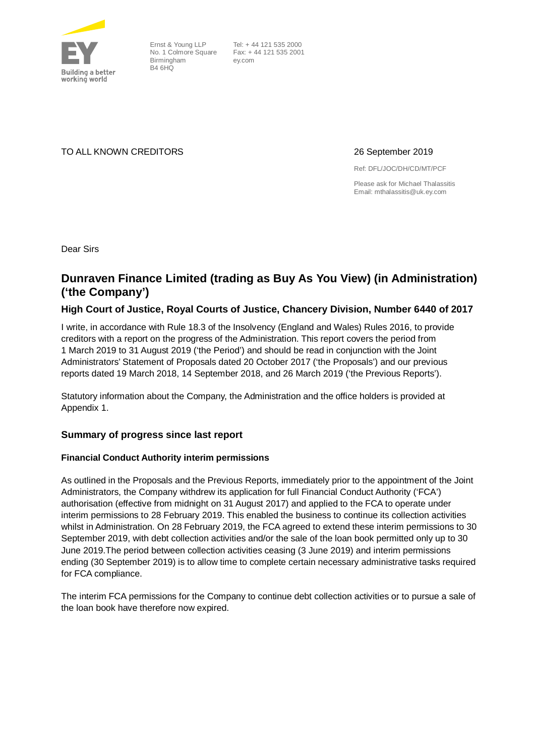

Ernst & Young LLP No. 1 Colmore Square Birmingham B4 6HQ

Tel: + 44 121 535 2000 Fax: + 44 121 535 2001 ey.com

TO ALL KNOWN CREDITORS 26 September 2019

Ref: DFL/JOC/DH/CD/MT/PCF

Please ask for Michael Thalassitis Email: mthalassitis@uk.ey.com

Dear Sirs

# **Dunraven Finance Limited (trading as Buy As You View) (in Administration) ('the Company')**

# **High Court of Justice, Royal Courts of Justice, Chancery Division, Number 6440 of 2017**

I write, in accordance with Rule 18.3 of the Insolvency (England and Wales) Rules 2016, to provide creditors with a report on the progress of the Administration. This report covers the period from 1 March 2019 to 31 August 2019 ('the Period') and should be read in conjunction with the Joint Administrators' Statement of Proposals dated 20 October 2017 ('the Proposals') and our previous reports dated 19 March 2018, 14 September 2018, and 26 March 2019 ('the Previous Reports').

Statutory information about the Company, the Administration and the office holders is provided at Appendix 1.

### **Summary of progress since last report**

### **Financial Conduct Authority interim permissions**

As outlined in the Proposals and the Previous Reports, immediately prior to the appointment of the Joint Administrators, the Company withdrew its application for full Financial Conduct Authority ('FCA') authorisation (effective from midnight on 31 August 2017) and applied to the FCA to operate under interim permissions to 28 February 2019. This enabled the business to continue its collection activities whilst in Administration. On 28 February 2019, the FCA agreed to extend these interim permissions to 30 September 2019, with debt collection activities and/or the sale of the loan book permitted only up to 30 June 2019.The period between collection activities ceasing (3 June 2019) and interim permissions ending (30 September 2019) is to allow time to complete certain necessary administrative tasks required for FCA compliance.

The interim FCA permissions for the Company to continue debt collection activities or to pursue a sale of the loan book have therefore now expired.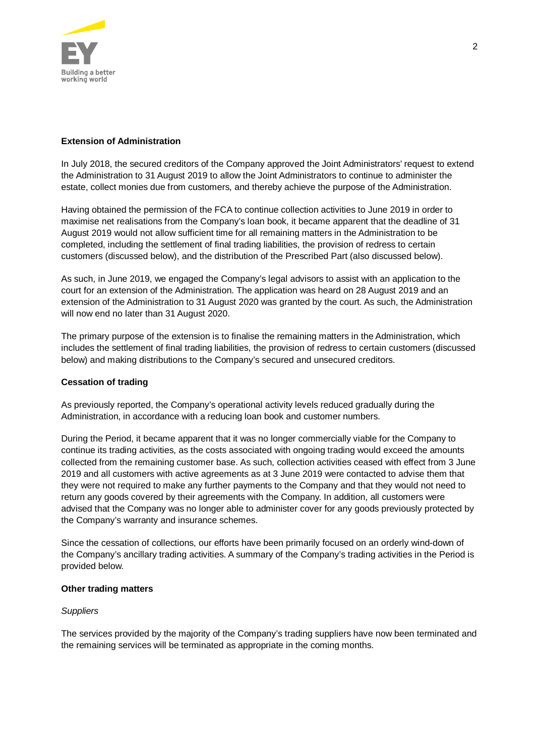

### **Extension of Administration**

In July 2018, the secured creditors of the Company approved the Joint Administrators' request to extend the Administration to 31 August 2019 to allow the Joint Administrators to continue to administer the estate, collect monies due from customers, and thereby achieve the purpose of the Administration.

Having obtained the permission of the FCA to continue collection activities to June 2019 in order to maximise net realisations from the Company's loan book, it became apparent that the deadline of 31 August 2019 would not allow sufficient time for all remaining matters in the Administration to be completed, including the settlement of final trading liabilities, the provision of redress to certain customers (discussed below), and the distribution of the Prescribed Part (also discussed below).

As such, in June 2019, we engaged the Company's legal advisors to assist with an application to the court for an extension of the Administration. The application was heard on 28 August 2019 and an extension of the Administration to 31 August 2020 was granted by the court. As such, the Administration will now end no later than 31 August 2020.

The primary purpose of the extension is to finalise the remaining matters in the Administration, which includes the settlement of final trading liabilities, the provision of redress to certain customers (discussed below) and making distributions to the Company's secured and unsecured creditors.

### **Cessation of trading**

As previously reported, the Company's operational activity levels reduced gradually during the Administration, in accordance with a reducing loan book and customer numbers.

During the Period, it became apparent that it was no longer commercially viable for the Company to continue its trading activities, as the costs associated with ongoing trading would exceed the amounts collected from the remaining customer base. As such, collection activities ceased with effect from 3 June 2019 and all customers with active agreements as at 3 June 2019 were contacted to advise them that they were not required to make any further payments to the Company and that they would not need to return any goods covered by their agreements with the Company. In addition, all customers were advised that the Company was no longer able to administer cover for any goods previously protected by the Company's warranty and insurance schemes.

Since the cessation of collections, our efforts have been primarily focused on an orderly wind-down of the Company's ancillary trading activities. A summary of the Company's trading activities in the Period is provided below.

#### **Other trading matters**

#### *Suppliers*

The services provided by the majority of the Company's trading suppliers have now been terminated and the remaining services will be terminated as appropriate in the coming months.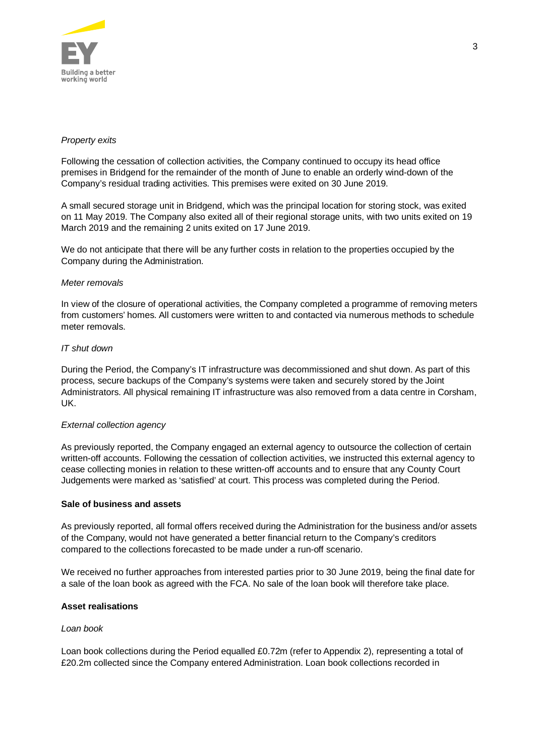

### *Property exits*

Following the cessation of collection activities, the Company continued to occupy its head office premises in Bridgend for the remainder of the month of June to enable an orderly wind-down of the Company's residual trading activities. This premises were exited on 30 June 2019.

A small secured storage unit in Bridgend, which was the principal location for storing stock, was exited on 11 May 2019. The Company also exited all of their regional storage units, with two units exited on 19 March 2019 and the remaining 2 units exited on 17 June 2019.

We do not anticipate that there will be any further costs in relation to the properties occupied by the Company during the Administration.

#### *Meter removals*

In view of the closure of operational activities, the Company completed a programme of removing meters from customers' homes. All customers were written to and contacted via numerous methods to schedule meter removals.

#### *IT shut down*

During the Period, the Company's IT infrastructure was decommissioned and shut down. As part of this process, secure backups of the Company's systems were taken and securely stored by the Joint Administrators. All physical remaining IT infrastructure was also removed from a data centre in Corsham, UK.

#### *External collection agency*

As previously reported, the Company engaged an external agency to outsource the collection of certain written-off accounts. Following the cessation of collection activities, we instructed this external agency to cease collecting monies in relation to these written-off accounts and to ensure that any County Court Judgements were marked as 'satisfied' at court. This process was completed during the Period.

#### **Sale of business and assets**

As previously reported, all formal offers received during the Administration for the business and/or assets of the Company, would not have generated a better financial return to the Company's creditors compared to the collections forecasted to be made under a run-off scenario.

We received no further approaches from interested parties prior to 30 June 2019, being the final date for a sale of the loan book as agreed with the FCA. No sale of the loan book will therefore take place.

#### **Asset realisations**

#### *Loan book*

Loan book collections during the Period equalled £0.72m (refer to Appendix 2), representing a total of £20.2m collected since the Company entered Administration. Loan book collections recorded in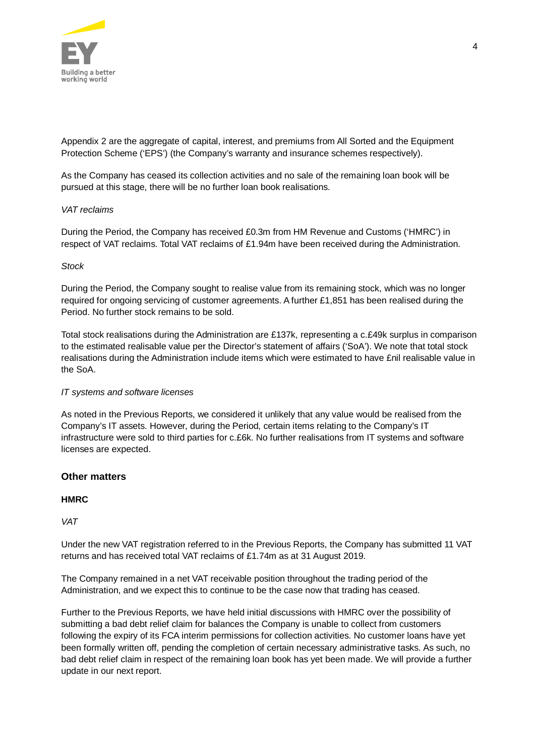

Appendix 2 are the aggregate of capital, interest, and premiums from All Sorted and the Equipment Protection Scheme ('EPS') (the Company's warranty and insurance schemes respectively).

As the Company has ceased its collection activities and no sale of the remaining loan book will be pursued at this stage, there will be no further loan book realisations.

### *VAT reclaims*

During the Period, the Company has received £0.3m from HM Revenue and Customs ('HMRC') in respect of VAT reclaims. Total VAT reclaims of £1.94m have been received during the Administration.

#### *Stock*

During the Period, the Company sought to realise value from its remaining stock, which was no longer required for ongoing servicing of customer agreements. A further £1,851 has been realised during the Period. No further stock remains to be sold.

Total stock realisations during the Administration are £137k, representing a c.£49k surplus in comparison to the estimated realisable value per the Director's statement of affairs ('SoA'). We note that total stock realisations during the Administration include items which were estimated to have £nil realisable value in the SoA.

### *IT systems and software licenses*

As noted in the Previous Reports, we considered it unlikely that any value would be realised from the Company's IT assets. However, during the Period, certain items relating to the Company's IT infrastructure were sold to third parties for c.£6k. No further realisations from IT systems and software licenses are expected.

### **Other matters**

#### **HMRC**

*VAT*

Under the new VAT registration referred to in the Previous Reports, the Company has submitted 11 VAT returns and has received total VAT reclaims of £1.74m as at 31 August 2019.

The Company remained in a net VAT receivable position throughout the trading period of the Administration, and we expect this to continue to be the case now that trading has ceased.

Further to the Previous Reports, we have held initial discussions with HMRC over the possibility of submitting a bad debt relief claim for balances the Company is unable to collect from customers following the expiry of its FCA interim permissions for collection activities. No customer loans have yet been formally written off, pending the completion of certain necessary administrative tasks. As such, no bad debt relief claim in respect of the remaining loan book has yet been made. We will provide a further update in our next report.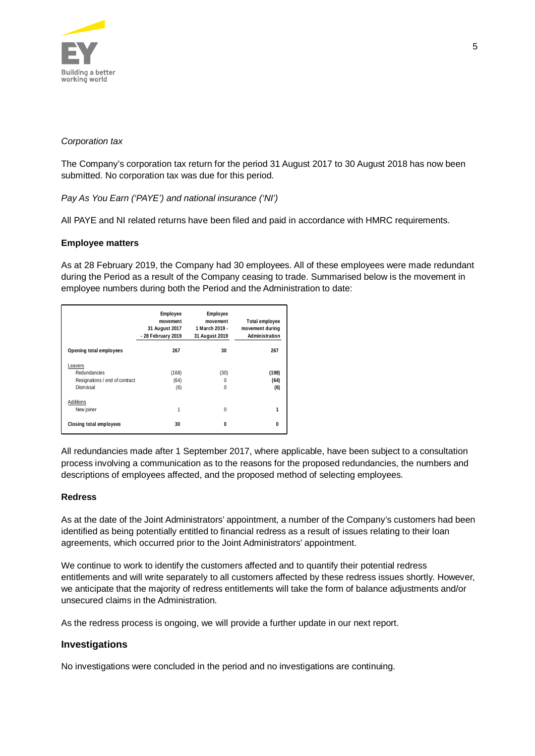

### *Corporation tax*

The Company's corporation tax return for the period 31 August 2017 to 30 August 2018 has now been submitted. No corporation tax was due for this period.

*Pay As You Earn ('PAYE') and national insurance ('NI')*

All PAYE and NI related returns have been filed and paid in accordance with HMRC requirements.

#### **Employee matters**

As at 28 February 2019, the Company had 30 employees. All of these employees were made redundant during the Period as a result of the Company ceasing to trade. Summarised below is the movement in employee numbers during both the Period and the Administration to date:

|                                                                        | Employee<br>movement<br>31 August 2017<br>- 28 February 2019 | <b>Employee</b><br>movement<br>1 March 2019 -<br>31 August 2019 | Total employee<br>movement during<br>Administration |
|------------------------------------------------------------------------|--------------------------------------------------------------|-----------------------------------------------------------------|-----------------------------------------------------|
| Opening total employees                                                | 267                                                          | 30                                                              | 267                                                 |
| Leavers<br>Redundancies<br>Resignations / end of contract<br>Dismissal | (168)<br>(64)<br>(6)                                         | (30)<br>0<br>$\mathbf{0}$                                       | (198)<br>(64)<br>(6)                                |
| Additions<br>New joiner                                                | 1                                                            | $\Omega$                                                        | 1                                                   |
| Closing total employees                                                | 30                                                           | $\Omega$                                                        | ŋ                                                   |

All redundancies made after 1 September 2017, where applicable, have been subject to a consultation process involving a communication as to the reasons for the proposed redundancies, the numbers and descriptions of employees affected, and the proposed method of selecting employees.

#### **Redress**

As at the date of the Joint Administrators' appointment, a number of the Company's customers had been identified as being potentially entitled to financial redress as a result of issues relating to their loan agreements, which occurred prior to the Joint Administrators' appointment.

We continue to work to identify the customers affected and to quantify their potential redress entitlements and will write separately to all customers affected by these redress issues shortly. However, we anticipate that the majority of redress entitlements will take the form of balance adjustments and/or unsecured claims in the Administration.

As the redress process is ongoing, we will provide a further update in our next report.

### **Investigations**

No investigations were concluded in the period and no investigations are continuing.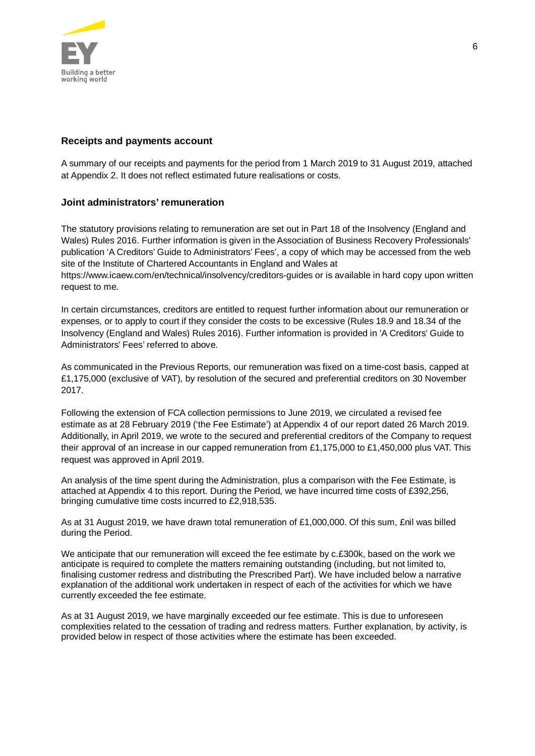

# **Receipts and payments account**

A summary of our receipts and payments for the period from 1 March 2019 to 31 August 2019, attached at Appendix 2. It does not reflect estimated future realisations or costs.

# **Joint administrators' remuneration**

The statutory provisions relating to remuneration are set out in Part 18 of the Insolvency (England and Wales) Rules 2016. Further information is given in the Association of Business Recovery Professionals' publication 'A Creditors' Guide to Administrators' Fees', a copy of which may be accessed from the web site of the Institute of Chartered Accountants in England and Wales at https://www.icaew.com/en/technical/insolvency/creditors-guides or is available in hard copy upon written request to me.

In certain circumstances, creditors are entitled to request further information about our remuneration or expenses, or to apply to court if they consider the costs to be excessive (Rules 18.9 and 18.34 of the Insolvency (England and Wales) Rules 2016). Further information is provided in 'A Creditors' Guide to Administrators' Fees' referred to above.

As communicated in the Previous Reports, our remuneration was fixed on a time-cost basis, capped at £1,175,000 (exclusive of VAT), by resolution of the secured and preferential creditors on 30 November 2017.

Following the extension of FCA collection permissions to June 2019, we circulated a revised fee estimate as at 28 February 2019 ('the Fee Estimate') at Appendix 4 of our report dated 26 March 2019. Additionally, in April 2019, we wrote to the secured and preferential creditors of the Company to request their approval of an increase in our capped remuneration from £1,175,000 to £1,450,000 plus VAT. This request was approved in April 2019.

An analysis of the time spent during the Administration, plus a comparison with the Fee Estimate, is attached at Appendix 4 to this report. During the Period, we have incurred time costs of £392,256, bringing cumulative time costs incurred to £2,918,535.

As at 31 August 2019, we have drawn total remuneration of £1,000,000. Of this sum, £nil was billed during the Period.

We anticipate that our remuneration will exceed the fee estimate by c.£300k, based on the work we anticipate is required to complete the matters remaining outstanding (including, but not limited to, finalising customer redress and distributing the Prescribed Part). We have included below a narrative explanation of the additional work undertaken in respect of each of the activities for which we have currently exceeded the fee estimate.

As at 31 August 2019, we have marginally exceeded our fee estimate. This is due to unforeseen complexities related to the cessation of trading and redress matters. Further explanation, by activity, is provided below in respect of those activities where the estimate has been exceeded.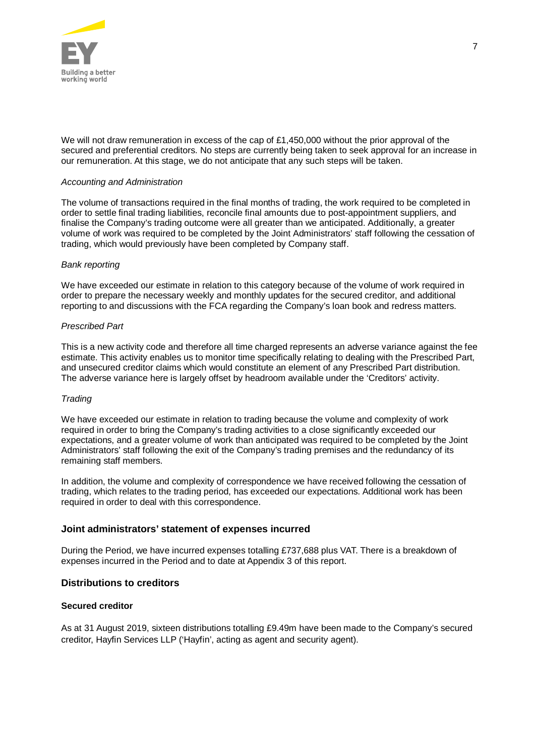

We will not draw remuneration in excess of the cap of £1,450,000 without the prior approval of the secured and preferential creditors. No steps are currently being taken to seek approval for an increase in our remuneration. At this stage, we do not anticipate that any such steps will be taken.

#### *Accounting and Administration*

The volume of transactions required in the final months of trading, the work required to be completed in order to settle final trading liabilities, reconcile final amounts due to post-appointment suppliers, and finalise the Company's trading outcome were all greater than we anticipated. Additionally, a greater volume of work was required to be completed by the Joint Administrators' staff following the cessation of trading, which would previously have been completed by Company staff.

#### *Bank reporting*

We have exceeded our estimate in relation to this category because of the volume of work required in order to prepare the necessary weekly and monthly updates for the secured creditor, and additional reporting to and discussions with the FCA regarding the Company's loan book and redress matters.

#### *Prescribed Part*

This is a new activity code and therefore all time charged represents an adverse variance against the fee estimate. This activity enables us to monitor time specifically relating to dealing with the Prescribed Part, and unsecured creditor claims which would constitute an element of any Prescribed Part distribution. The adverse variance here is largely offset by headroom available under the 'Creditors' activity.

#### *Trading*

We have exceeded our estimate in relation to trading because the volume and complexity of work required in order to bring the Company's trading activities to a close significantly exceeded our expectations, and a greater volume of work than anticipated was required to be completed by the Joint Administrators' staff following the exit of the Company's trading premises and the redundancy of its remaining staff members.

In addition, the volume and complexity of correspondence we have received following the cessation of trading, which relates to the trading period, has exceeded our expectations. Additional work has been required in order to deal with this correspondence.

#### **Joint administrators' statement of expenses incurred**

During the Period, we have incurred expenses totalling £737,688 plus VAT. There is a breakdown of expenses incurred in the Period and to date at Appendix 3 of this report.

#### **Distributions to creditors**

### **Secured creditor**

As at 31 August 2019, sixteen distributions totalling £9.49m have been made to the Company's secured creditor, Hayfin Services LLP ('Hayfin', acting as agent and security agent).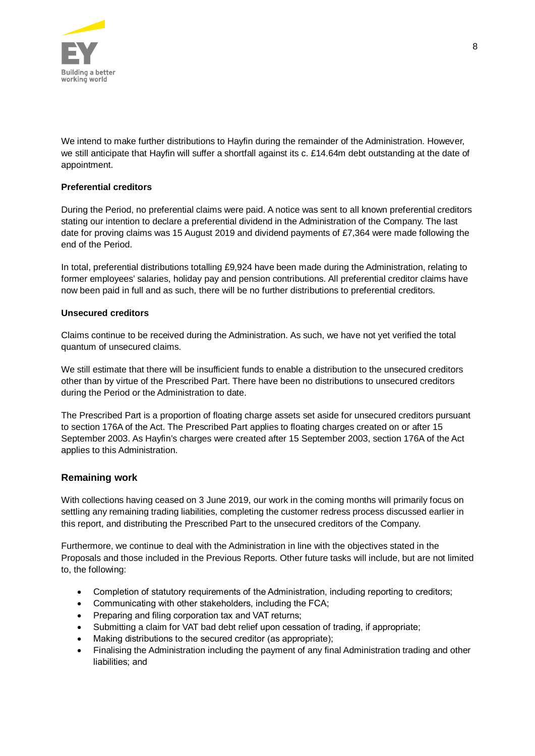

We intend to make further distributions to Hayfin during the remainder of the Administration. However, we still anticipate that Hayfin will suffer a shortfall against its c. £14.64m debt outstanding at the date of appointment.

# **Preferential creditors**

During the Period, no preferential claims were paid. A notice was sent to all known preferential creditors stating our intention to declare a preferential dividend in the Administration of the Company. The last date for proving claims was 15 August 2019 and dividend payments of £7,364 were made following the end of the Period.

In total, preferential distributions totalling £9,924 have been made during the Administration, relating to former employees' salaries, holiday pay and pension contributions. All preferential creditor claims have now been paid in full and as such, there will be no further distributions to preferential creditors.

### **Unsecured creditors**

Claims continue to be received during the Administration. As such, we have not yet verified the total quantum of unsecured claims.

We still estimate that there will be insufficient funds to enable a distribution to the unsecured creditors other than by virtue of the Prescribed Part. There have been no distributions to unsecured creditors during the Period or the Administration to date.

The Prescribed Part is a proportion of floating charge assets set aside for unsecured creditors pursuant to section 176A of the Act. The Prescribed Part applies to floating charges created on or after 15 September 2003. As Hayfin's charges were created after 15 September 2003, section 176A of the Act applies to this Administration.

### **Remaining work**

With collections having ceased on 3 June 2019, our work in the coming months will primarily focus on settling any remaining trading liabilities, completing the customer redress process discussed earlier in this report, and distributing the Prescribed Part to the unsecured creditors of the Company.

Furthermore, we continue to deal with the Administration in line with the objectives stated in the Proposals and those included in the Previous Reports. Other future tasks will include, but are not limited to, the following:

- Completion of statutory requirements of the Administration, including reporting to creditors;
- Communicating with other stakeholders, including the FCA;
- · Preparing and filing corporation tax and VAT returns;
- · Submitting a claim for VAT bad debt relief upon cessation of trading, if appropriate;
- Making distributions to the secured creditor (as appropriate);
- · Finalising the Administration including the payment of any final Administration trading and other liabilities; and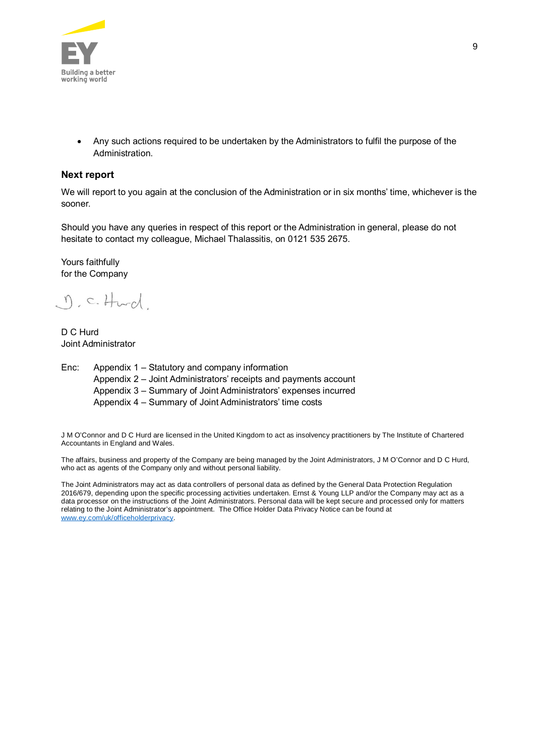

· Any such actions required to be undertaken by the Administrators to fulfil the purpose of the Administration.

#### **Next report**

We will report to you again at the conclusion of the Administration or in six months' time, whichever is the sooner.

Should you have any queries in respect of this report or the Administration in general, please do not hesitate to contact my colleague, Michael Thalassitis, on 0121 535 2675.

Yours faithfully for the Company

 $\eta$ , c. Hurd

D C Hurd Joint Administrator

Enc: Appendix 1 – Statutory and company information Appendix 2 – Joint Administrators' receipts and payments account Appendix 3 – Summary of Joint Administrators' expenses incurred Appendix 4 – Summary of Joint Administrators' time costs

J M O'Connor and D C Hurd are licensed in the United Kingdom to act as insolvency practitioners by The Institute of Chartered Accountants in England and Wales.

The affairs, business and property of the Company are being managed by the Joint Administrators, J M O'Connor and D C Hurd, who act as agents of the Company only and without personal liability.

The Joint Administrators may act as data controllers of personal data as defined by the General Data Protection Regulation 2016/679, depending upon the specific processing activities undertaken. Ernst & Young LLP and/or the Company may act as a data processor on the instructions of the Joint Administrators. Personal data will be kept secure and processed only for matters relating to the Joint Administrator's appointment. The Office Holder Data Privacy Notice can be found at www.ey.com/uk/officeholderprivacy.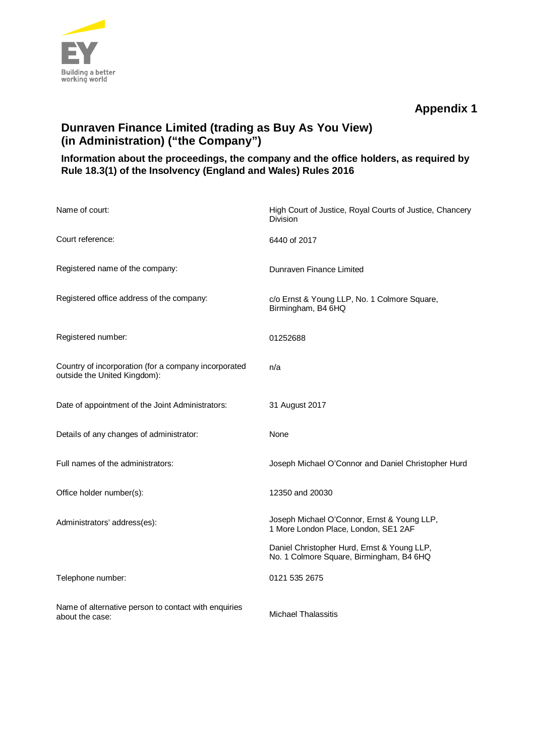

# **Dunraven Finance Limited (trading as Buy As You View) (in Administration) ("the Company")**

# **Information about the proceedings, the company and the office holders, as required by Rule 18.3(1) of the Insolvency (England and Wales) Rules 2016**

| Name of court:                                                                       | High Court of Justice, Royal Courts of Justice, Chancery<br>Division                    |
|--------------------------------------------------------------------------------------|-----------------------------------------------------------------------------------------|
| Court reference:                                                                     | 6440 of 2017                                                                            |
| Registered name of the company:                                                      | Dunraven Finance Limited                                                                |
| Registered office address of the company:                                            | c/o Ernst & Young LLP, No. 1 Colmore Square,<br>Birmingham, B4 6HQ                      |
| Registered number:                                                                   | 01252688                                                                                |
| Country of incorporation (for a company incorporated<br>outside the United Kingdom): | n/a                                                                                     |
| Date of appointment of the Joint Administrators:                                     | 31 August 2017                                                                          |
| Details of any changes of administrator:                                             | None                                                                                    |
| Full names of the administrators:                                                    | Joseph Michael O'Connor and Daniel Christopher Hurd                                     |
| Office holder number(s):                                                             | 12350 and 20030                                                                         |
| Administrators' address(es):                                                         | Joseph Michael O'Connor, Ernst & Young LLP,<br>1 More London Place, London, SE1 2AF     |
|                                                                                      | Daniel Christopher Hurd, Ernst & Young LLP,<br>No. 1 Colmore Square, Birmingham, B4 6HQ |
| Telephone number:                                                                    | 0121 535 2675                                                                           |
| Name of alternative person to contact with enquiries<br>about the case:              | Michael Thalassitis                                                                     |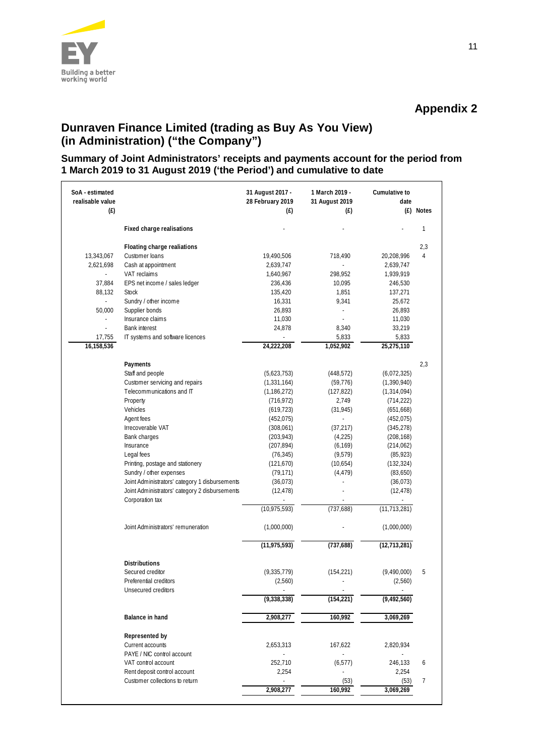

# **Dunraven Finance Limited (trading as Buy As You View) (in Administration) ("the Company")**

# **Summary of Joint Administrators' receipts and payments account for the period from 1 March 2019 to 31 August 2019 ('the Period') and cumulative to date**

| SoA - estimated<br>realisable value<br>(E) |                                                | 31 August 2017 -<br>28 February 2019<br>(E) | 1 March 2019 -<br>31 August 2019<br>(E) | Cumulative to<br>date | (£) Notes |
|--------------------------------------------|------------------------------------------------|---------------------------------------------|-----------------------------------------|-----------------------|-----------|
|                                            | Fixed charge realisations                      |                                             |                                         |                       | 1         |
|                                            |                                                |                                             |                                         |                       |           |
|                                            | Floating charge realiations                    |                                             |                                         |                       | 2,3       |
| 13,343,067                                 | Customer loans                                 | 19,490,506                                  | 718,490                                 | 20,208,996            | 4         |
| 2,621,698                                  | Cash at appointment                            | 2,639,747                                   |                                         | 2,639,747             |           |
|                                            | VAT reclaims                                   | 1,640,967                                   | 298,952                                 | 1,939,919             |           |
| 37,884                                     | EPS net income / sales ledger                  | 236,436                                     | 10,095                                  | 246,530               |           |
| 88,132                                     | <b>Stock</b>                                   | 135,420                                     | 1,851                                   | 137,271               |           |
| ÷,                                         | Sundry / other income                          | 16,331                                      | 9,341                                   | 25,672                |           |
| 50,000                                     | Supplier bonds                                 | 26,893                                      | ÷,                                      | 26,893                |           |
|                                            | Insurance claims                               | 11,030                                      | ł,                                      | 11,030                |           |
| J.                                         | <b>Bank interest</b>                           | 24,878                                      | 8,340                                   | 33,219                |           |
| 17,755                                     | IT systems and software licences               |                                             | 5,833                                   | 5,833                 |           |
| 16,158,536                                 |                                                | 24,222,208                                  | 1,052,902                               | 25,275,110            |           |
|                                            | Payments                                       |                                             |                                         |                       | 2,3       |
|                                            | Staff and people                               | (5,623,753)                                 | (448, 572)                              | (6,072,325)           |           |
|                                            | Customer servicing and repairs                 | (1, 331, 164)                               | (59, 776)                               | (1,390,940)           |           |
|                                            | Telecommunications and IT                      | (1, 186, 272)                               | (127, 822)                              | (1, 314, 094)         |           |
|                                            | Property                                       | (716, 972)                                  | 2,749                                   |                       |           |
|                                            | Vehicles                                       |                                             |                                         | (714, 222)            |           |
|                                            |                                                | (619, 723)                                  | (31, 945)<br>J.                         | (651, 668)            |           |
|                                            | Agent fees                                     | (452, 075)                                  |                                         | (452, 075)            |           |
|                                            | Irrecoverable VAT                              | (308,061)                                   | (37, 217)                               | (345, 278)            |           |
|                                            | Bank charges                                   | (203, 943)                                  | (4,225)                                 | (208, 168)            |           |
|                                            | Insurance                                      | (207, 894)                                  | (6, 169)                                | (214, 062)            |           |
|                                            | Legal fees                                     | (76, 345)                                   | (9, 579)                                | (85, 923)             |           |
|                                            | Printing, postage and stationery               | (121, 670)                                  | (10, 654)                               | (132, 324)            |           |
|                                            | Sundry / other expenses                        | (79, 171)                                   | (4, 479)                                | (83,650)              |           |
|                                            | Joint Administrators' category 1 disbursements | (36, 073)                                   |                                         | (36, 073)             |           |
|                                            | Joint Administrators' category 2 disbursements | (12, 478)                                   | ÷.                                      | (12, 478)             |           |
|                                            | Corporation tax                                | (10, 975, 593)                              | (737, 688)                              | (11, 713, 281)        |           |
|                                            |                                                |                                             |                                         |                       |           |
|                                            | Joint Administrators' remuneration             | (1,000,000)                                 |                                         | (1,000,000)           |           |
|                                            |                                                | (11, 975, 593)                              | (737, 688)                              | (12, 713, 281)        |           |
|                                            | Distributions                                  |                                             |                                         |                       |           |
|                                            | Secured creditor                               | (9, 335, 779)                               | (154, 221)                              | (9,490,000)           | 5         |
|                                            | Preferential creditors                         | (2,560)                                     |                                         | (2,560)               |           |
|                                            | Unsecured creditors                            |                                             |                                         |                       |           |
|                                            |                                                | (9,338,338)                                 | (154, 221)                              | (9, 492, 560)         |           |
|                                            | Balance in hand                                | 2,908,277                                   | 160,992                                 | 3,069,269             |           |
|                                            | Represented by                                 |                                             |                                         |                       |           |
|                                            | Current accounts                               | 2,653,313                                   | 167,622                                 | 2,820,934             |           |
|                                            | PAYE / NIC control account                     |                                             |                                         |                       |           |
|                                            | VAT control account                            | 252,710                                     | (6, 577)                                | 246,133               | 6         |
|                                            | Rent deposit control account                   | 2,254                                       |                                         | 2,254                 |           |
|                                            | Customer collections to return                 |                                             | (53)                                    | (53)                  | 7         |
|                                            |                                                | 2,908,277                                   | 160,992                                 | 3,069,269             |           |
|                                            |                                                |                                             |                                         |                       |           |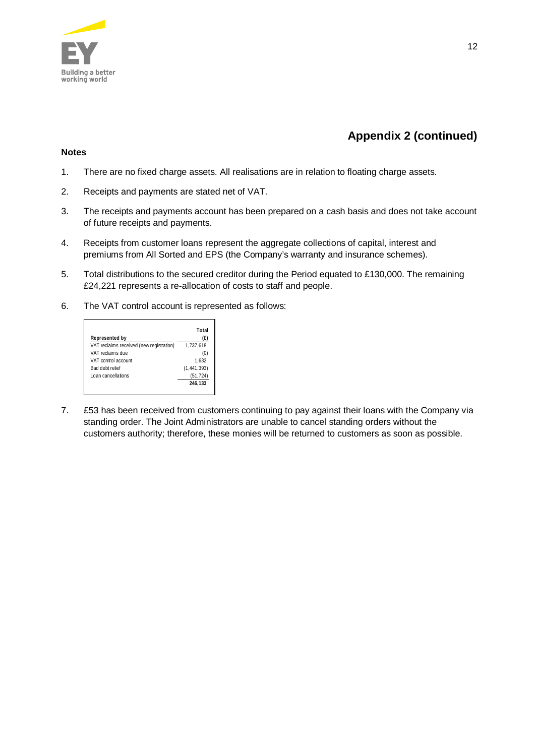

# **Appendix 2 (continued)**

# **Notes**

- 1. There are no fixed charge assets. All realisations are in relation to floating charge assets.
- 2. Receipts and payments are stated net of VAT.
- 3. The receipts and payments account has been prepared on a cash basis and does not take account of future receipts and payments.
- 4. Receipts from customer loans represent the aggregate collections of capital, interest and premiums from All Sorted and EPS (the Company's warranty and insurance schemes).
- 5. Total distributions to the secured creditor during the Period equated to £130,000. The remaining £24,221 represents a re-allocation of costs to staff and people.
- 6. The VAT control account is represented as follows:

|                                          | Total         |
|------------------------------------------|---------------|
| Represented by                           | (E)           |
| VAT reclaims received (new registration) | 1.737.618     |
| VAT reclaims due                         | (0)           |
| VAT control account                      | 1.632         |
| Bad debt relief                          | (1, 441, 393) |
| Loan cancellations                       | (51, 724)     |
|                                          | 246.133       |
|                                          |               |

7. £53 has been received from customers continuing to pay against their loans with the Company via standing order. The Joint Administrators are unable to cancel standing orders without the customers authority; therefore, these monies will be returned to customers as soon as possible.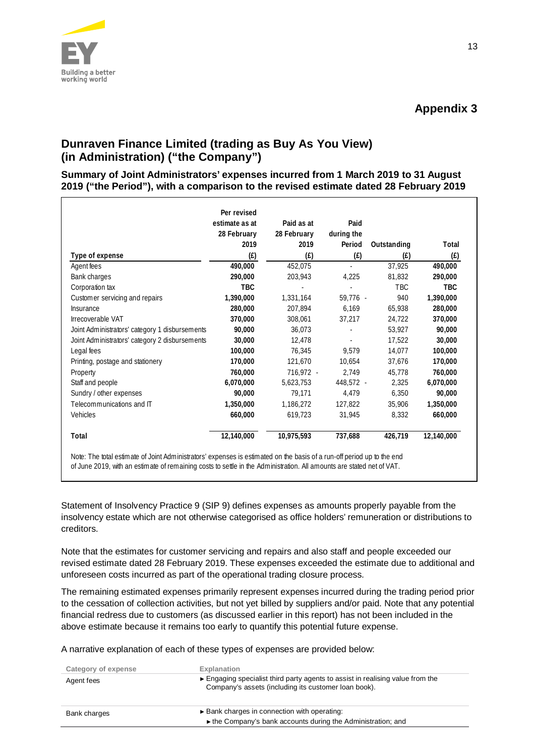

# **Dunraven Finance Limited (trading as Buy As You View) (in Administration) ("the Company")**

**Summary of Joint Administrators' expenses incurred from 1 March 2019 to 31 August 2019 ("the Period"), with a comparison to the revised estimate dated 28 February 2019**

|                                                | Per revised<br>estimate as at | Paid as at  | Paid                     |             |            |
|------------------------------------------------|-------------------------------|-------------|--------------------------|-------------|------------|
|                                                | 28 February                   | 28 February | during the               |             |            |
|                                                | 2019                          | 2019        | Period                   | Outstanding | Total      |
| Type of expense                                | (f)                           | (f)         | (f)                      | (E)         | (f)        |
| Agent fees                                     | 490,000                       | 452,075     | $\overline{\phantom{a}}$ | 37,925      | 490,000    |
| Bank charges                                   | 290,000                       | 203,943     | 4,225                    | 81,832      | 290,000    |
| Corporation tax                                | <b>TBC</b>                    |             |                          | <b>TBC</b>  | <b>TBC</b> |
| Customer servicing and repairs                 | 1,390,000                     | 1,331,164   | 59,776 -                 | 940         | 1,390,000  |
| Insurance                                      | 280,000                       | 207.894     | 6.169                    | 65,938      | 280,000    |
| Irrecoverable VAT                              | 370,000                       | 308,061     | 37,217                   | 24,722      | 370,000    |
| Joint Administrators' category 1 disbursements | 90,000                        | 36.073      |                          | 53,927      | 90,000     |
| Joint Administrators' category 2 disbursements | 30,000                        | 12,478      |                          | 17,522      | 30,000     |
| Legal fees                                     | 100,000                       | 76,345      | 9.579                    | 14,077      | 100,000    |
| Printing, postage and stationery               | 170,000                       | 121.670     | 10.654                   | 37,676      | 170,000    |
| Property                                       | 760,000                       | 716,972 -   | 2.749                    | 45,778      | 760,000    |
| Staff and people                               | 6,070,000                     | 5,623,753   | 448,572 -                | 2,325       | 6,070,000  |
| Sundry / other expenses                        | 90,000                        | 79,171      | 4,479                    | 6,350       | 90,000     |
| Telecommunications and IT                      | 1,350,000                     | 1,186,272   | 127.822                  | 35,906      | 1,350,000  |
| Vehicles                                       | 660,000                       | 619,723     | 31,945                   | 8,332       | 660,000    |
| Total                                          | 12,140,000                    | 10,975,593  | 737,688                  | 426,719     | 12,140,000 |

Statement of Insolvency Practice 9 (SIP 9) defines expenses as amounts properly payable from the insolvency estate which are not otherwise categorised as office holders' remuneration or distributions to creditors.

Note that the estimates for customer servicing and repairs and also staff and people exceeded our revised estimate dated 28 February 2019. These expenses exceeded the estimate due to additional and unforeseen costs incurred as part of the operational trading closure process.

The remaining estimated expenses primarily represent expenses incurred during the trading period prior to the cessation of collection activities, but not yet billed by suppliers and/or paid. Note that any potential financial redress due to customers (as discussed earlier in this report) has not been included in the above estimate because it remains too early to quantify this potential future expense.

A narrative explanation of each of these types of expenses are provided below:

| Category of expense | <b>Explanation</b>                                                                                                                   |
|---------------------|--------------------------------------------------------------------------------------------------------------------------------------|
| Agent fees          | Engaging specialist third party agents to assist in realising value from the<br>Company's assets (including its customer loan book). |
| Bank charges        | ► Bank charges in connection with operating:<br>In the Company's bank accounts during the Administration; and                        |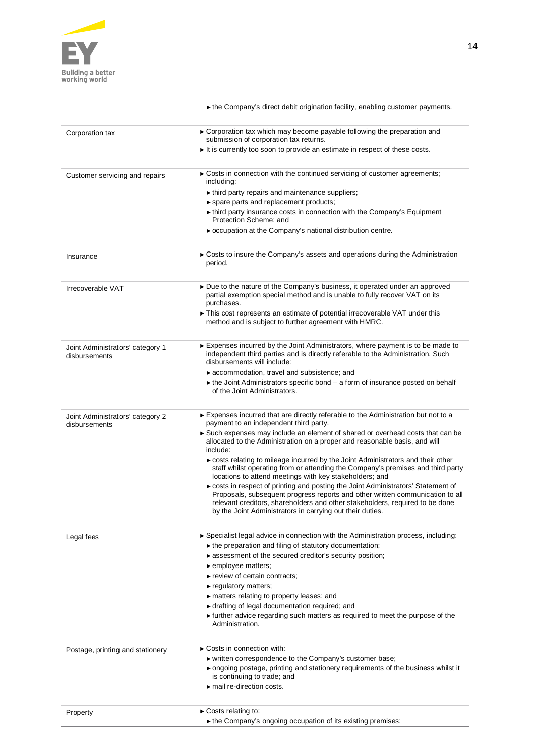

|                                                   | • the Company's direct debit origination facility, enabling customer payments.                                                                                                                                                                                                                                  |
|---------------------------------------------------|-----------------------------------------------------------------------------------------------------------------------------------------------------------------------------------------------------------------------------------------------------------------------------------------------------------------|
| Corporation tax                                   | ► Corporation tax which may become payable following the preparation and<br>submission of corporation tax returns.                                                                                                                                                                                              |
|                                                   | It is currently too soon to provide an estimate in respect of these costs.                                                                                                                                                                                                                                      |
| Customer servicing and repairs                    | ► Costs in connection with the continued servicing of customer agreements;<br>including:                                                                                                                                                                                                                        |
|                                                   | $\blacktriangleright$ third party repairs and maintenance suppliers;                                                                                                                                                                                                                                            |
|                                                   | ▶ spare parts and replacement products;                                                                                                                                                                                                                                                                         |
|                                                   | In third party insurance costs in connection with the Company's Equipment<br>Protection Scheme: and                                                                                                                                                                                                             |
|                                                   | ► occupation at the Company's national distribution centre.                                                                                                                                                                                                                                                     |
| Insurance                                         | ► Costs to insure the Company's assets and operations during the Administration<br>period.                                                                                                                                                                                                                      |
| Irrecoverable VAT                                 | ► Due to the nature of the Company's business, it operated under an approved<br>partial exemption special method and is unable to fully recover VAT on its<br>purchases.                                                                                                                                        |
|                                                   | This cost represents an estimate of potential irrecoverable VAT under this<br>method and is subject to further agreement with HMRC.                                                                                                                                                                             |
| Joint Administrators' category 1<br>disbursements | Expenses incurred by the Joint Administrators, where payment is to be made to<br>independent third parties and is directly referable to the Administration. Such<br>disbursements will include:                                                                                                                 |
|                                                   | accommodation, travel and subsistence; and                                                                                                                                                                                                                                                                      |
|                                                   | $\triangleright$ the Joint Administrators specific bond $-$ a form of insurance posted on behalf<br>of the Joint Administrators.                                                                                                                                                                                |
| Joint Administrators' category 2<br>disbursements | Expenses incurred that are directly referable to the Administration but not to a<br>payment to an independent third party.                                                                                                                                                                                      |
|                                                   | Such expenses may include an element of shared or overhead costs that can be<br>allocated to the Administration on a proper and reasonable basis, and will<br>include:                                                                                                                                          |
|                                                   | costs relating to mileage incurred by the Joint Administrators and their other<br>staff whilst operating from or attending the Company's premises and third party<br>locations to attend meetings with key stakeholders; and                                                                                    |
|                                                   | ► costs in respect of printing and posting the Joint Administrators' Statement of<br>Proposals, subsequent progress reports and other written communication to all<br>relevant creditors, shareholders and other stakeholders, required to be done<br>by the Joint Administrators in carrying out their duties. |
| Legal fees                                        | ► Specialist legal advice in connection with the Administration process, including:                                                                                                                                                                                                                             |
|                                                   | $\blacktriangleright$ the preparation and filing of statutory documentation;                                                                                                                                                                                                                                    |
|                                                   | assessment of the secured creditor's security position;                                                                                                                                                                                                                                                         |
|                                                   | $\blacktriangleright$ employee matters;                                                                                                                                                                                                                                                                         |
|                                                   | review of certain contracts;                                                                                                                                                                                                                                                                                    |
|                                                   | regulatory matters;                                                                                                                                                                                                                                                                                             |
|                                                   | matters relating to property leases; and                                                                                                                                                                                                                                                                        |
|                                                   | If drafting of legal documentation required; and                                                                                                                                                                                                                                                                |
|                                                   | If further advice regarding such matters as required to meet the purpose of the<br>Administration.                                                                                                                                                                                                              |
| Postage, printing and stationery                  | $\triangleright$ Costs in connection with:                                                                                                                                                                                                                                                                      |
|                                                   | ► written correspondence to the Company's customer base;                                                                                                                                                                                                                                                        |
|                                                   | • ongoing postage, printing and stationery requirements of the business whilst it<br>is continuing to trade; and                                                                                                                                                                                                |
|                                                   | $\blacktriangleright$ mail re-direction costs.                                                                                                                                                                                                                                                                  |
| Property                                          | $\triangleright$ Costs relating to:                                                                                                                                                                                                                                                                             |

► the Company's ongoing occupation of its existing premises;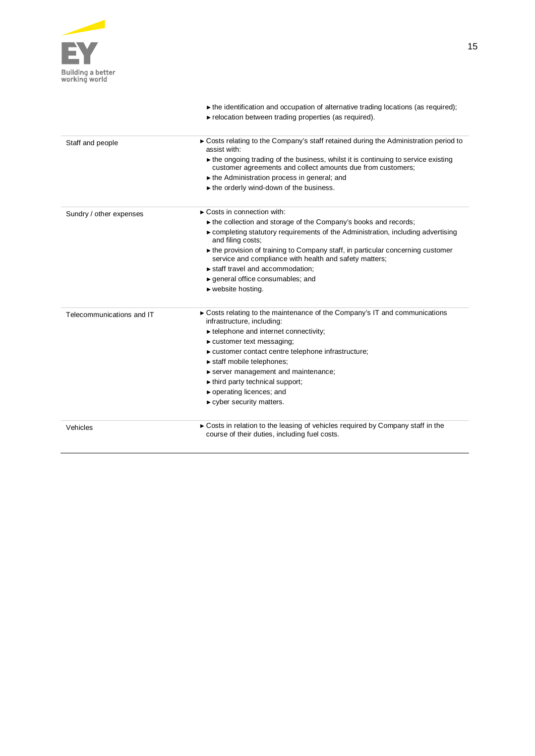

 $\frac{1}{2}$ 

Ĭ.

Ĭ.

|                           | $\triangleright$ the identification and occupation of alternative trading locations (as required);<br>relocation between trading properties (as required).       |
|---------------------------|------------------------------------------------------------------------------------------------------------------------------------------------------------------|
| Staff and people          | ► Costs relating to the Company's staff retained during the Administration period to<br>assist with:                                                             |
|                           | $\triangleright$ the ongoing trading of the business, whilst it is continuing to service existing<br>customer agreements and collect amounts due from customers; |
|                           | $\triangleright$ the Administration process in general; and                                                                                                      |
|                           | $\triangleright$ the orderly wind-down of the business.                                                                                                          |
| Sundry / other expenses   | $\triangleright$ Costs in connection with:                                                                                                                       |
|                           | ► the collection and storage of the Company's books and records;                                                                                                 |
|                           | $\triangleright$ completing statutory requirements of the Administration, including advertising<br>and filing costs;                                             |
|                           | ► the provision of training to Company staff, in particular concerning customer<br>service and compliance with health and safety matters;                        |
|                           | staff travel and accommodation;                                                                                                                                  |
|                           | $\triangleright$ general office consumables; and                                                                                                                 |
|                           | $\blacktriangleright$ website hosting.                                                                                                                           |
| Telecommunications and IT | ► Costs relating to the maintenance of the Company's IT and communications<br>infrastructure, including:                                                         |
|                           | $\blacktriangleright$ telephone and internet connectivity;                                                                                                       |
|                           | $\triangleright$ customer text messaging;                                                                                                                        |
|                           | ► customer contact centre telephone infrastructure;                                                                                                              |
|                           | $\triangleright$ staff mobile telephones;                                                                                                                        |
|                           | server management and maintenance;                                                                                                                               |
|                           | $\blacktriangleright$ third party technical support;                                                                                                             |
|                           | $\triangleright$ operating licences; and                                                                                                                         |
|                           | $\triangleright$ cyber security matters.                                                                                                                         |
| Vehicles                  | Costs in relation to the leasing of vehicles required by Company staff in the<br>course of their duties, including fuel costs.                                   |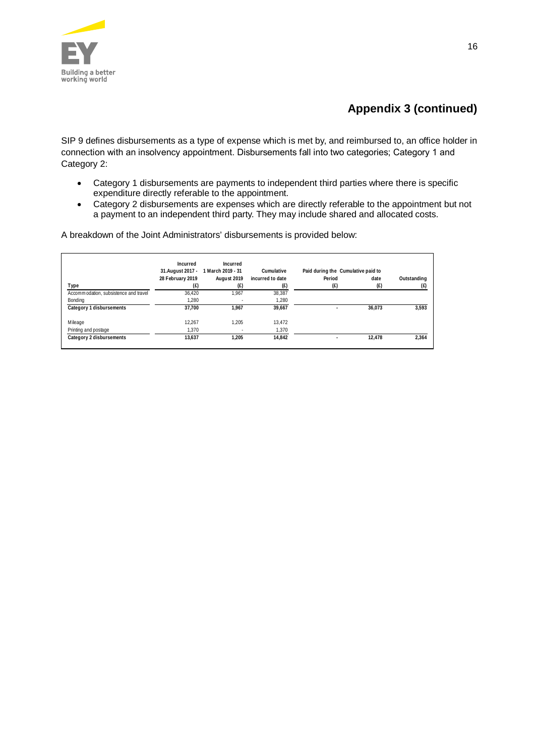

# **Appendix 3 (continued)**

SIP 9 defines disbursements as a type of expense which is met by, and reimbursed to, an office holder in connection with an insolvency appointment. Disbursements fall into two categories; Category 1 and Category 2:

- · Category 1 disbursements are payments to independent third parties where there is specific expenditure directly referable to the appointment.
- · Category 2 disbursements are expenses which are directly referable to the appointment but not a payment to an independent third party. They may include shared and allocated costs.

A breakdown of the Joint Administrators' disbursements is provided below:

|                                       | Incurred<br>31.August 2017 - | Incurred<br>1 March 2019 - 31 | Cumulative       | Paid during the Cumulative paid to |        |             |
|---------------------------------------|------------------------------|-------------------------------|------------------|------------------------------------|--------|-------------|
|                                       | 28 February 2019             | August 2019                   | incurred to date | Period                             | date   | Outstanding |
| Type                                  | (£)                          | (£)                           | (E)              | (f)                                | (E)    | (f)         |
| Accommodation, subsistence and travel | 36.420                       | 1.967                         | 38.387           |                                    |        |             |
| Bonding                               | 1.280                        | ٠.                            | 1.280            |                                    |        |             |
| Category 1 disbursements              | 37.700                       | 1.967                         | 39.667           | $\overline{\phantom{a}}$           | 36,073 | 3.593       |
| Mileage                               | 12.267                       | 1.205                         | 13.472           |                                    |        |             |
| Printing and postage                  | 1.370                        | ٠                             | 1.370            |                                    |        |             |
| Category 2 disbursements              | 13.637                       | 1.205                         | 14.842           | ٠                                  | 12.478 | 2.364       |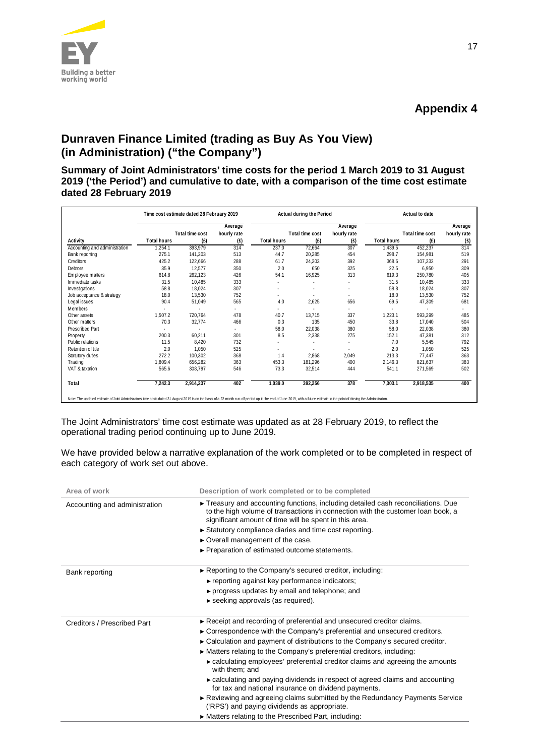

# **Dunraven Finance Limited (trading as Buy As You View) (in Administration) ("the Company")**

**Summary of Joint Administrators' time costs for the period 1 March 2019 to 31 August 2019 ('the Period') and cumulative to date, with a comparison of the time cost estimate dated 28 February 2019**

|                                                                                                                                                                                                                                | Time cost estimate dated 28 February 2019 |                 |             | Actual during the Period |                 | Actual to date |                    |                 |             |
|--------------------------------------------------------------------------------------------------------------------------------------------------------------------------------------------------------------------------------|-------------------------------------------|-----------------|-------------|--------------------------|-----------------|----------------|--------------------|-----------------|-------------|
|                                                                                                                                                                                                                                |                                           |                 | Average     |                          |                 | Average        |                    |                 | Average     |
|                                                                                                                                                                                                                                |                                           | Total time cost | hourly rate |                          | Total time cost | hourly rate    |                    | Total time cost | hourly rate |
| Activity                                                                                                                                                                                                                       | <b>Total hours</b>                        | (E)             | (E)         | <b>Total hours</b>       | (E)             | (E)            | <b>Total hours</b> | (E)             | (E)         |
| Accounting and administration                                                                                                                                                                                                  | ,254.1                                    | 393,979         | 314         | 237.0                    | 72,664          | 307            | 1,439.5            | 452,237         | 314         |
| Bank reporting                                                                                                                                                                                                                 | 275.1                                     | 141,203         | 513         | 44.7                     | 20,285          | 454            | 298.7              | 154.981         | 519         |
| Creditors                                                                                                                                                                                                                      | 425.2                                     | 122,666         | 288         | 61.7                     | 24,203          | 392            | 368.6              | 107.232         | 291         |
| <b>Debtors</b>                                                                                                                                                                                                                 | 35.9                                      | 12.577          | 350         | 2.0                      | 650             | 325            | 22.5               | 6.950           | 309         |
| Employee matters                                                                                                                                                                                                               | 614.8                                     | 262,123         | 426         | 54.1                     | 16,925          | 313            | 619.3              | 250.780         | 405         |
| Immediate tasks                                                                                                                                                                                                                | 31.5                                      | 10.485          | 333         | $\sim$                   |                 | ä,             | 31.5               | 10,485          | 333         |
| Investigations                                                                                                                                                                                                                 | 58.8                                      | 18,024          | 307         |                          |                 | ٠              | 58.8               | 18.024          | 307         |
| Job acceptance & strategy                                                                                                                                                                                                      | 18.0                                      | 13,530          | 752         | $\sim$                   | ٠               | ÷              | 18.0               | 13.530          | 752         |
| Legal issues                                                                                                                                                                                                                   | 90.4                                      | 51,049          | 565         | 4.0                      | 2,625           | 656            | 69.5               | 47,309          | 681         |
| Members                                                                                                                                                                                                                        |                                           |                 | ٠           | $\sim$                   |                 | ٠              |                    |                 |             |
| Other assets                                                                                                                                                                                                                   | 1,507.2                                   | 720,764         | 478         | 40.7                     | 13,715          | 337            | 1,223.1            | 593,299         | 485         |
| Other matters                                                                                                                                                                                                                  | 70.3                                      | 32,774          | 466         | 0.3                      | 135             | 450            | 33.8               | 17.040          | 504         |
| <b>Prescribed Part</b>                                                                                                                                                                                                         |                                           |                 | ٠           | 58.0                     | 22,038          | 380            | 58.0               | 22.038          | 380         |
| Property                                                                                                                                                                                                                       | 200.3                                     | 60,211          | 301         | 8.5                      | 2,338           | 275            | 152.1              | 47,381          | 312         |
| Public relations                                                                                                                                                                                                               | 11.5                                      | 8,420           | 732         |                          |                 | ٠              | 7.0                | 5,545           | 792         |
| Retention of title                                                                                                                                                                                                             | 2.0                                       | 1.050           | 525         |                          |                 |                | 2.0                | 1.050           | 525         |
| Statutory duties                                                                                                                                                                                                               | 272.2                                     | 100.302         | 368         | 1.4                      | 2,868           | 2,049          | 213.3              | 77,447          | 363         |
| Trading                                                                                                                                                                                                                        | 1,809.4                                   | 656,282         | 363         | 453.3                    | 181,296         | 400            | 2.146.3            | 821.637         | 383         |
| VAT & taxation                                                                                                                                                                                                                 | 565.6                                     | 308,797         | 546         | 73.3                     | 32,514          | 444            | 541.1              | 271,569         | 502         |
| Total                                                                                                                                                                                                                          | 7,242.3                                   | 2,914,237       | 402         | 1,039.0                  | 392,256         | 378            | 7,303.1            | 2,918,535       | 400         |
| Note: The updated estimate of Joint Administrators' time costs dated 31 August 2019 is on the basis of a 22 month run-off period up to the end of June 2019, with a future estimate to the point of closing the Administration |                                           |                 |             |                          |                 |                |                    |                 |             |

The Joint Administrators' time cost estimate was updated as at 28 February 2019, to reflect the operational trading period continuing up to June 2019.

We have provided below a narrative explanation of the work completed or to be completed in respect of each category of work set out above.

| Description of work completed or to be completed<br>Area of work |                                                                                                                                                                                                                              |  |  |  |  |
|------------------------------------------------------------------|------------------------------------------------------------------------------------------------------------------------------------------------------------------------------------------------------------------------------|--|--|--|--|
| Accounting and administration                                    | Treasury and accounting functions, including detailed cash reconciliations. Due<br>to the high volume of transactions in connection with the customer loan book, a<br>significant amount of time will be spent in this area. |  |  |  |  |
|                                                                  | Statutory compliance diaries and time cost reporting.                                                                                                                                                                        |  |  |  |  |
|                                                                  | ► Overall management of the case.                                                                                                                                                                                            |  |  |  |  |
|                                                                  | ► Preparation of estimated outcome statements.                                                                                                                                                                               |  |  |  |  |
| Bank reporting                                                   | $\triangleright$ Reporting to the Company's secured creditor, including:                                                                                                                                                     |  |  |  |  |
|                                                                  | reporting against key performance indicators;                                                                                                                                                                                |  |  |  |  |
|                                                                  | ► progress updates by email and telephone; and                                                                                                                                                                               |  |  |  |  |
|                                                                  | seeking approvals (as required).                                                                                                                                                                                             |  |  |  |  |
| Creditors / Prescribed Part                                      | ► Receipt and recording of preferential and unsecured creditor claims.                                                                                                                                                       |  |  |  |  |
|                                                                  | ► Correspondence with the Company's preferential and unsecured creditors.                                                                                                                                                    |  |  |  |  |
|                                                                  | ► Calculation and payment of distributions to the Company's secured creditor.                                                                                                                                                |  |  |  |  |
|                                                                  | ► Matters relating to the Company's preferential creditors, including:                                                                                                                                                       |  |  |  |  |
|                                                                  | • calculating employees' preferential creditor claims and agreeing the amounts<br>with them; and                                                                                                                             |  |  |  |  |
|                                                                  | • calculating and paying dividends in respect of agreed claims and accounting<br>for tax and national insurance on dividend payments.                                                                                        |  |  |  |  |
|                                                                  | Reviewing and agreeing claims submitted by the Redundancy Payments Service<br>('RPS') and paying dividends as appropriate.                                                                                                   |  |  |  |  |
|                                                                  | ► Matters relating to the Prescribed Part, including:                                                                                                                                                                        |  |  |  |  |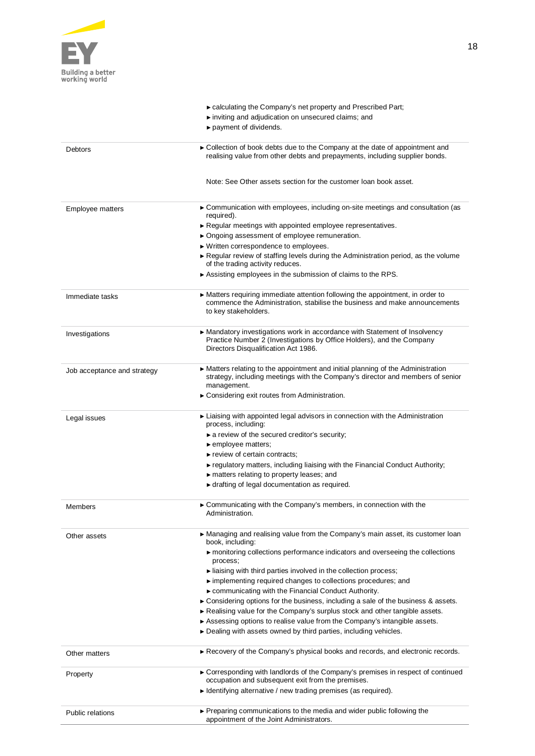

|                             | ► calculating the Company's net property and Prescribed Part;                                                                                                                               |
|-----------------------------|---------------------------------------------------------------------------------------------------------------------------------------------------------------------------------------------|
|                             | inviting and adjudication on unsecured claims; and                                                                                                                                          |
|                             | payment of dividends.                                                                                                                                                                       |
| Debtors                     | ► Collection of book debts due to the Company at the date of appointment and<br>realising value from other debts and prepayments, including supplier bonds.                                 |
|                             | Note: See Other assets section for the customer loan book asset.                                                                                                                            |
| Employee matters            | ► Communication with employees, including on-site meetings and consultation (as<br>required).                                                                                               |
|                             | Regular meetings with appointed employee representatives.                                                                                                                                   |
|                             | ▶ Ongoing assessment of employee remuneration.                                                                                                                                              |
|                             | ► Written correspondence to employees.                                                                                                                                                      |
|                             | ► Regular review of staffing levels during the Administration period, as the volume<br>of the trading activity reduces.                                                                     |
|                             | Assisting employees in the submission of claims to the RPS.                                                                                                                                 |
|                             |                                                                                                                                                                                             |
| Immediate tasks             | • Matters requiring immediate attention following the appointment, in order to<br>commence the Administration, stabilise the business and make announcements<br>to key stakeholders.        |
| Investigations              | ► Mandatory investigations work in accordance with Statement of Insolvency<br>Practice Number 2 (Investigations by Office Holders), and the Company<br>Directors Disqualification Act 1986. |
| Job acceptance and strategy | ► Matters relating to the appointment and initial planning of the Administration<br>strategy, including meetings with the Company's director and members of senior<br>management.           |
|                             | ► Considering exit routes from Administration.                                                                                                                                              |
|                             |                                                                                                                                                                                             |
| Legal issues                | ► Liaising with appointed legal advisors in connection with the Administration<br>process, including:                                                                                       |
|                             | a review of the secured creditor's security;                                                                                                                                                |
|                             | $\blacktriangleright$ employee matters;<br>$\blacktriangleright$ review of certain contracts;                                                                                               |
|                             | $\triangleright$ regulatory matters, including liaising with the Financial Conduct Authority;                                                                                               |
|                             | $\triangleright$ matters relating to property leases; and                                                                                                                                   |
|                             | If drafting of legal documentation as required.                                                                                                                                             |
|                             |                                                                                                                                                                                             |
| Members                     | Communicating with the Company's members, in connection with the<br>Administration.                                                                                                         |
| Other assets                | ► Managing and realising value from the Company's main asset, its customer loan<br>book, including:                                                                                         |
|                             | monitoring collections performance indicators and overseeing the collections<br>process;                                                                                                    |
|                             | liaising with third parties involved in the collection process;                                                                                                                             |
|                             | implementing required changes to collections procedures; and                                                                                                                                |
|                             | ► communicating with the Financial Conduct Authority.                                                                                                                                       |
|                             | $\triangleright$ Considering options for the business, including a sale of the business & assets.                                                                                           |
|                             | Realising value for the Company's surplus stock and other tangible assets.<br>Assessing options to realise value from the Company's intangible assets.                                      |
|                             | ► Dealing with assets owned by third parties, including vehicles.                                                                                                                           |
|                             |                                                                                                                                                                                             |
| Other matters               | Recovery of the Company's physical books and records, and electronic records.                                                                                                               |
| Property                    | ► Corresponding with landlords of the Company's premises in respect of continued<br>occupation and subsequent exit from the premises.                                                       |
|                             | $\blacktriangleright$ Identifying alternative / new trading premises (as required).                                                                                                         |
| <b>Public relations</b>     | ► Preparing communications to the media and wider public following the                                                                                                                      |
|                             | appointment of the Joint Administrators.                                                                                                                                                    |